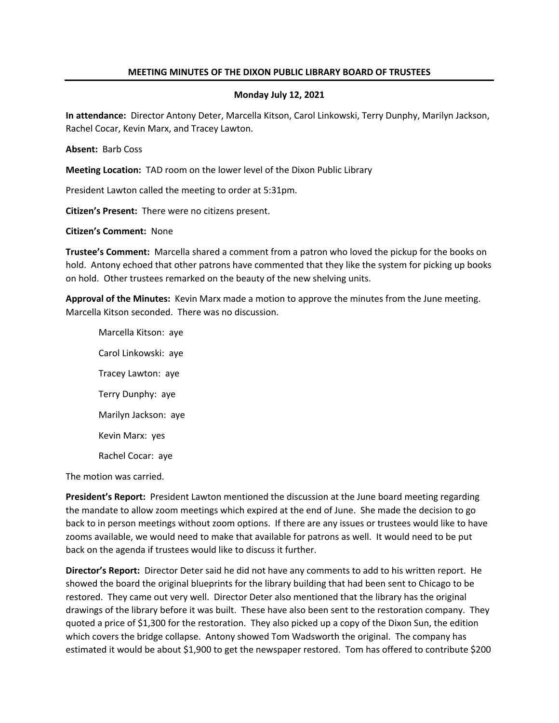## **MEETING MINUTES OF THE DIXON PUBLIC LIBRARY BOARD OF TRUSTEES**

## **Monday July 12, 2021**

**In attendance:** Director Antony Deter, Marcella Kitson, Carol Linkowski, Terry Dunphy, Marilyn Jackson, Rachel Cocar, Kevin Marx, and Tracey Lawton.

**Absent:** Barb Coss

**Meeting Location:** TAD room on the lower level of the Dixon Public Library

President Lawton called the meeting to order at 5:31pm.

**Citizen's Present:** There were no citizens present.

**Citizen's Comment:** None

**Trustee's Comment:** Marcella shared a comment from a patron who loved the pickup for the books on hold. Antony echoed that other patrons have commented that they like the system for picking up books on hold. Other trustees remarked on the beauty of the new shelving units.

**Approval of the Minutes:** Kevin Marx made a motion to approve the minutes from the June meeting. Marcella Kitson seconded. There was no discussion.

Marcella Kitson: aye Carol Linkowski: aye Tracey Lawton: aye Terry Dunphy: aye Marilyn Jackson: aye Kevin Marx: yes Rachel Cocar: aye

The motion was carried.

**President's Report:** President Lawton mentioned the discussion at the June board meeting regarding the mandate to allow zoom meetings which expired at the end of June. She made the decision to go back to in person meetings without zoom options. If there are any issues or trustees would like to have zooms available, we would need to make that available for patrons as well. It would need to be put back on the agenda if trustees would like to discuss it further.

**Director's Report:** Director Deter said he did not have any comments to add to his written report. He showed the board the original blueprints for the library building that had been sent to Chicago to be restored. They came out very well. Director Deter also mentioned that the library has the original drawings of the library before it was built. These have also been sent to the restoration company. They quoted a price of \$1,300 for the restoration. They also picked up a copy of the Dixon Sun, the edition which covers the bridge collapse. Antony showed Tom Wadsworth the original. The company has estimated it would be about \$1,900 to get the newspaper restored. Tom has offered to contribute \$200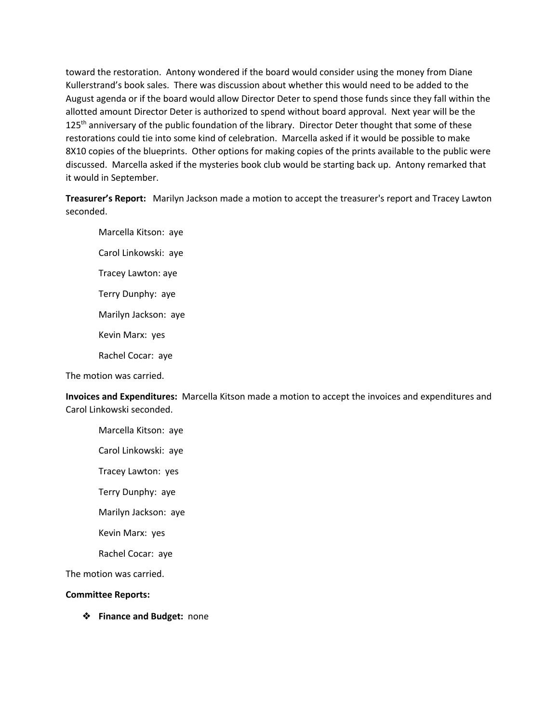toward the restoration. Antony wondered if the board would consider using the money from Diane Kullerstrand's book sales. There was discussion about whether this would need to be added to the August agenda or if the board would allow Director Deter to spend those funds since they fall within the allotted amount Director Deter is authorized to spend without board approval. Next year will be the 125<sup>th</sup> anniversary of the public foundation of the library. Director Deter thought that some of these restorations could tie into some kind of celebration. Marcella asked if it would be possible to make 8X10 copies of the blueprints. Other options for making copies of the prints available to the public were discussed. Marcella asked if the mysteries book club would be starting back up. Antony remarked that it would in September.

**Treasurer's Report:** Marilyn Jackson made a motion to accept the treasurer's report and Tracey Lawton seconded.

Marcella Kitson: aye Carol Linkowski: aye Tracey Lawton: aye Terry Dunphy: aye Marilyn Jackson: aye Kevin Marx: yes Rachel Cocar: aye

The motion was carried.

**Invoices and Expenditures:** Marcella Kitson made a motion to accept the invoices and expenditures and Carol Linkowski seconded.

Marcella Kitson: aye

Carol Linkowski: aye

Tracey Lawton: yes

Terry Dunphy: aye

Marilyn Jackson: aye

Kevin Marx: yes

Rachel Cocar: aye

The motion was carried.

## **Committee Reports:**

❖ **Finance and Budget:** none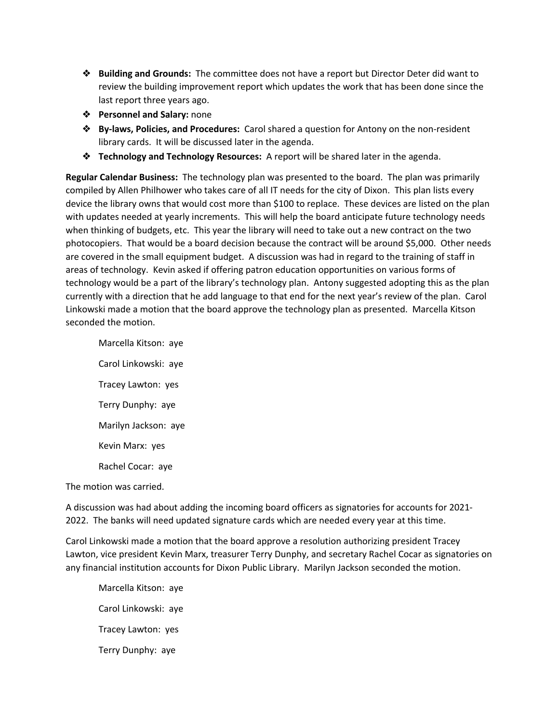- ❖ **Building and Grounds:** The committee does not have a report but Director Deter did want to review the building improvement report which updates the work that has been done since the last report three years ago.
- ❖ **Personnel and Salary:** none
- ❖ **By-laws, Policies, and Procedures:** Carol shared a question for Antony on the non-resident library cards. It will be discussed later in the agenda.
- ❖ **Technology and Technology Resources:** A report will be shared later in the agenda.

**Regular Calendar Business:** The technology plan was presented to the board. The plan was primarily compiled by Allen Philhower who takes care of all IT needs for the city of Dixon. This plan lists every device the library owns that would cost more than \$100 to replace. These devices are listed on the plan with updates needed at yearly increments. This will help the board anticipate future technology needs when thinking of budgets, etc. This year the library will need to take out a new contract on the two photocopiers. That would be a board decision because the contract will be around \$5,000. Other needs are covered in the small equipment budget. A discussion was had in regard to the training of staff in areas of technology. Kevin asked if offering patron education opportunities on various forms of technology would be a part of the library's technology plan. Antony suggested adopting this as the plan currently with a direction that he add language to that end for the next year's review of the plan. Carol Linkowski made a motion that the board approve the technology plan as presented. Marcella Kitson seconded the motion.

Marcella Kitson: aye Carol Linkowski: aye Tracey Lawton: yes Terry Dunphy: aye Marilyn Jackson: aye Kevin Marx: yes Rachel Cocar: aye

The motion was carried.

A discussion was had about adding the incoming board officers as signatories for accounts for 2021- 2022. The banks will need updated signature cards which are needed every year at this time.

Carol Linkowski made a motion that the board approve a resolution authorizing president Tracey Lawton, vice president Kevin Marx, treasurer Terry Dunphy, and secretary Rachel Cocar as signatories on any financial institution accounts for Dixon Public Library. Marilyn Jackson seconded the motion.

Marcella Kitson: aye Carol Linkowski: aye Tracey Lawton: yes Terry Dunphy: aye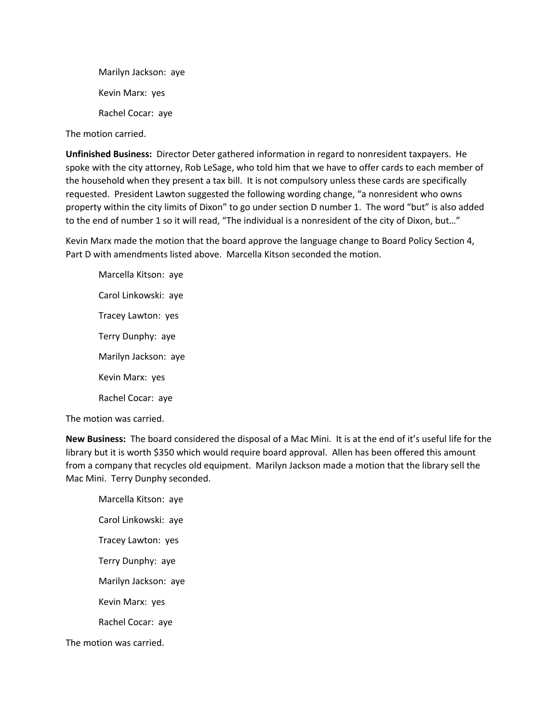Marilyn Jackson: aye Kevin Marx: yes Rachel Cocar: aye

The motion carried.

**Unfinished Business:** Director Deter gathered information in regard to nonresident taxpayers. He spoke with the city attorney, Rob LeSage, who told him that we have to offer cards to each member of the household when they present a tax bill. It is not compulsory unless these cards are specifically requested. President Lawton suggested the following wording change, "a nonresident who owns property within the city limits of Dixon" to go under section D number 1. The word "but" is also added to the end of number 1 so it will read, "The individual is a nonresident of the city of Dixon, but..."

Kevin Marx made the motion that the board approve the language change to Board Policy Section 4, Part D with amendments listed above. Marcella Kitson seconded the motion.

Marcella Kitson: aye Carol Linkowski: aye Tracey Lawton: yes Terry Dunphy: aye Marilyn Jackson: aye Kevin Marx: yes Rachel Cocar: aye

The motion was carried.

**New Business:** The board considered the disposal of a Mac Mini. It is at the end of it's useful life for the library but it is worth \$350 which would require board approval. Allen has been offered this amount from a company that recycles old equipment. Marilyn Jackson made a motion that the library sell the Mac Mini. Terry Dunphy seconded.

Marcella Kitson: aye Carol Linkowski: aye Tracey Lawton: yes Terry Dunphy: aye Marilyn Jackson: aye Kevin Marx: yes Rachel Cocar: aye

The motion was carried.